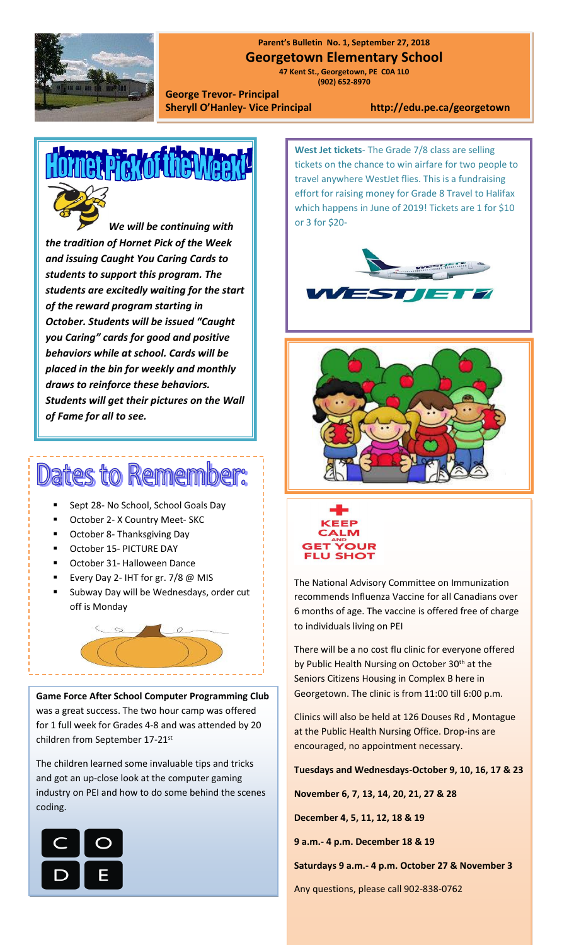

## **Parent's Bulletin No. 1, September 27, 2018**

**Georgetown Elementary School**

**[www.edu.pe.ca/georgetown](http://www.edu.pe.ca/georgetown)** 

**47 Kent St., Georgetown, PE C0A 1L0 (902) 652-8970**

**George Trevor- Principal Sheryll O'Hanley- Vice Principal http://edu.pe.ca/georgetown**



*the tradition of Hornet Pick of the Week and issuing Caught You Caring Cards to students to support this program. The students are excitedly waiting for the start of the reward program starting in October. Students will be issued "Caught you Caring" cards for good and positive behaviors while at school. Cards will be placed in the bin for weekly and monthly draws to reinforce these behaviors. Students will get their pictures on the Wall of Fame for all to see.*

## Dates to Remer

- Sept 28- No School, School Goals Day
- October 2- X Country Meet- SKC
- October 8- Thanksgiving Day
- October 15- PICTURE DAY
- October 31- Halloween Dance
- Every Day 2- IHT for gr. 7/8 @ MIS
- Subway Day will be Wednesdays, order cut off is Monday



**Game Force After School Computer Programming Club** was a great success. The two hour camp was offered for 1 full week for Grades 4-8 and was attended by 20 children from September 17-21st

The children learned some invaluable tips and tricks and got an up-close look at the computer gaming industry on PEI and how to do some behind the scenes coding.



**West Jet tickets**- The Grade 7/8 class are selling tickets on the chance to win airfare for two people to travel anywhere WestJet flies. This is a fundraising effort for raising money for Grade 8 Travel to Halifax which happens in June of 2019! Tickets are 1 for \$10 or 3 for \$20-







The National Advisory Committee on Immunization recommends Influenza Vaccine for all Canadians over 6 months of age. The vaccine is offered free of charge to individuals living on PEI

There will be a no cost flu clinic for everyone offered by Public Health Nursing on October 30<sup>th</sup> at the Seniors Citizens Housing in Complex B here in Georgetown. The clinic is from 11:00 till 6:00 p.m.

Clinics will also be held at 126 Douses Rd , Montague at the Public Health Nursing Office. Drop-ins are encouraged, no appointment necessary.

**Tuesdays and Wednesdays-October 9, 10, 16, 17 & 23**

**November 6, 7, 13, 14, 20, 21, 27 & 28**

**December 4, 5, 11, 12, 18 & 19**

**9 a.m.- 4 p.m. December 18 & 19**

**Saturdays 9 a.m.- 4 p.m. October 27 & November 3**

Any questions, please call 902-838-0762